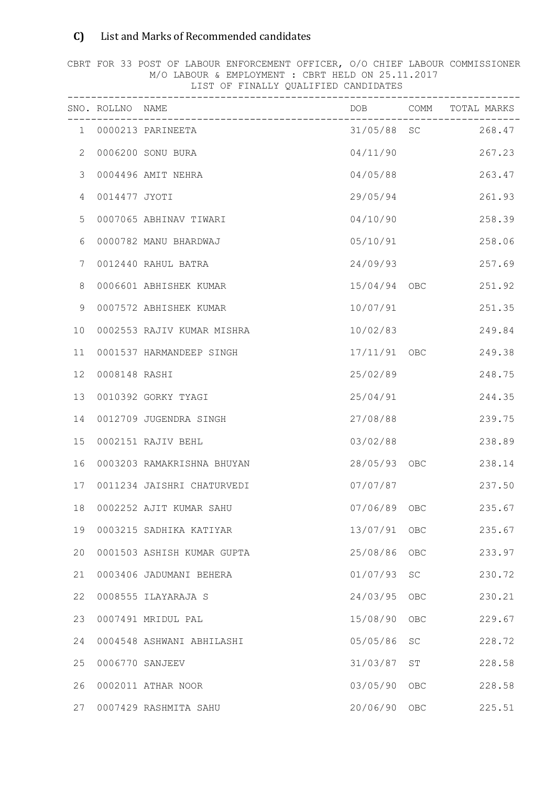## C) List and Marks of Recommended candidates

CBRT FOR 33 POST OF LABOUR ENFORCEMENT OFFICER, O/O CHIEF LABOUR COMMISSIONER M/O LABOUR & EMPLOYMENT : CBRT HELD ON 25.11.2017 LIST OF FINALLY QUALIFIED CANDIDATES

|                | SNO. ROLLNO NAME |                            | $- - - - - - -$ |     | DOB COMM TOTAL MARKS |
|----------------|------------------|----------------------------|-----------------|-----|----------------------|
|                |                  | 1 0000213 PARINEETA        |                 |     | 31/05/88 SC 268.47   |
| 2              |                  | 0006200 SONU BURA          | 04/11/90        |     | 267.23               |
| 3              |                  | 0004496 AMIT NEHRA         | 04/05/88        |     | 263.47               |
| $\overline{4}$ | 0014477 JYOTI    |                            | 29/05/94        |     | 261.93               |
| 5              |                  | 0007065 ABHINAV TIWARI     | 04/10/90        |     | 258.39               |
| 6              |                  | 0000782 MANU BHARDWAJ      | 05/10/91        |     | 258.06               |
| 7              |                  | 0012440 RAHUL BATRA        | 24/09/93        |     | 257.69               |
| $\,8\,$        |                  | 0006601 ABHISHEK KUMAR     | 15/04/94 OBC    |     | 251.92               |
| 9              |                  | 0007572 ABHISHEK KUMAR     | 10/07/91        |     | 251.35               |
| 10             |                  | 0002553 RAJIV KUMAR MISHRA | 10/02/83        |     | 249.84               |
| 11             |                  | 0001537 HARMANDEEP SINGH   | 17/11/91 OBC    |     | 249.38               |
| 12             | 0008148 RASHI    |                            | 25/02/89        |     | 248.75               |
| 13             |                  | 0010392 GORKY TYAGI        | 25/04/91        |     | 244.35               |
| 14             |                  | 0012709 JUGENDRA SINGH     | 27/08/88        |     | 239.75               |
| 15             |                  | 0002151 RAJIV BEHL         | 03/02/88        |     | 238.89               |
| 16             |                  | 0003203 RAMAKRISHNA BHUYAN | 28/05/93 OBC    |     | 238.14               |
| 17             |                  | 0011234 JAISHRI CHATURVEDI | 07/07/87        |     | 237.50               |
| 18             |                  | 0002252 AJIT KUMAR SAHU    | 07/06/89 OBC    |     | 235.67               |
| 19             |                  | 0003215 SADHIKA KATIYAR    | 13/07/91        | OBC | 235.67               |
| 20             |                  | 0001503 ASHISH KUMAR GUPTA | 25/08/86        | OBC | 233.97               |
| 21             |                  | 0003406 JADUMANI BEHERA    | 01/07/93        | SC  | 230.72               |
| 22             |                  | 0008555 ILAYARAJA S        | 24/03/95        | OBC | 230.21               |
| 23             |                  | 0007491 MRIDUL PAL         | 15/08/90        | OBC | 229.67               |
| 24             |                  | 0004548 ASHWANI ABHILASHI  | 05/05/86        | SC  | 228.72               |
| 25             |                  | 0006770 SANJEEV            | 31/03/87        | ST  | 228.58               |
| 26             |                  | 0002011 ATHAR NOOR         | 03/05/90        | OBC | 228.58               |
| 27             |                  | 0007429 RASHMITA SAHU      | 20/06/90        | OBC | 225.51               |